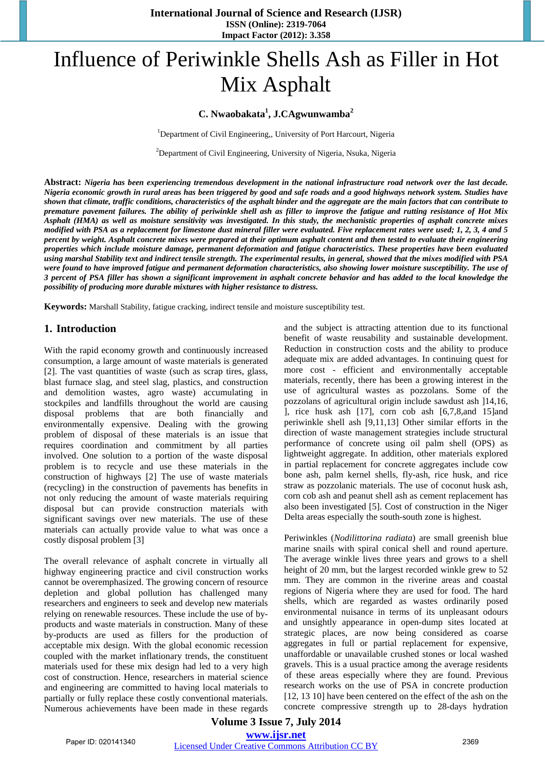# Influence of Periwinkle Shells Ash as Filler in Hot Mix Asphalt

#### **C. Nwaobakata<sup>1</sup> , J.CAgwunwamba<sup>2</sup>**

<sup>1</sup>Department of Civil Engineering,, University of Port Harcourt, Nigeria

<sup>2</sup>Department of Civil Engineering, University of Nigeria, Nsuka, Nigeria

**Abstract:** *Nigeria has been experiencing tremendous development in the national infrastructure road network over the last decade. Nigeria economic growth in rural areas has been triggered by good and safe roads and a good highways network system. Studies have shown that climate, traffic conditions, characteristics of the asphalt binder and the aggregate are the main factors that can contribute to premature pavement failures. The ability of periwinkle shell ash as filler to improve the fatigue and rutting resistance of Hot Mix Asphalt (HMA) as well as moisture sensitivity was investigated. In this study, the mechanistic properties of asphalt concrete mixes modified with PSA as a replacement for limestone dust mineral filler were evaluated. Five replacement rates were used; 1, 2, 3, 4 and 5 percent by weight. Asphalt concrete mixes were prepared at their optimum asphalt content and then tested to evaluate their engineering properties which include moisture damage, permanent deformation and fatigue characteristics. These properties have been evaluated using marshal Stability text and indirect tensile strength. The experimental results, in general, showed that the mixes modified with PSA were found to have improved fatigue and permanent deformation characteristics, also showing lower moisture susceptibility. The use of 3 percent of PSA filler has shown a significant improvement in asphalt concrete behavior and has added to the local knowledge the possibility of producing more durable mixtures with higher resistance to distress.*

**Keywords:** Marshall Stability, fatigue cracking, indirect tensile and moisture susceptibility test.

#### **1. Introduction**

With the rapid economy growth and continuously increased consumption, a large amount of waste materials is generated [2]. The vast quantities of waste (such as scrap tires, glass, blast furnace slag, and steel slag, plastics, and construction and demolition wastes, agro waste) accumulating in stockpiles and landfills throughout the world are causing disposal problems that are both financially and environmentally expensive. Dealing with the growing problem of disposal of these materials is an issue that requires coordination and commitment by all parties involved. One solution to a portion of the waste disposal problem is to recycle and use these materials in the construction of highways [2] The use of waste materials (recycling) in the construction of pavements has benefits in not only reducing the amount of waste materials requiring disposal but can provide construction materials with significant savings over new materials. The use of these materials can actually provide value to what was once a costly disposal problem [3]

The overall relevance of asphalt concrete in virtually all highway engineering practice and civil construction works cannot be overemphasized. The growing concern of resource depletion and global pollution has challenged many researchers and engineers to seek and develop new materials relying on renewable resources. These include the use of byproducts and waste materials in construction. Many of these by-products are used as fillers for the production of acceptable mix design. With the global economic recession coupled with the market inflationary trends, the constituent materials used for these mix design had led to a very high cost of construction. Hence, researchers in material science and engineering are committed to having local materials to partially or fully replace these costly conventional materials. Numerous achievements have been made in these regards and the subject is attracting attention due to its functional benefit of waste reusability and sustainable development. Reduction in construction costs and the ability to produce adequate mix are added advantages. In continuing quest for more cost - efficient and environmentally acceptable materials, recently, there has been a growing interest in the use of agricultural wastes as pozzolans. Some of the pozzolans of agricultural origin include sawdust ash ]14,16, ], rice husk ash [17], corn cob ash [6,7,8,and 15]and periwinkle shell ash [9,11,13] Other similar efforts in the direction of waste management strategies include structural performance of concrete using oil palm shell (OPS) as lightweight aggregate. In addition, other materials explored in partial replacement for concrete aggregates include cow bone ash, palm kernel shells, fly-ash, rice husk, and rice straw as pozzolanic materials. The use of coconut husk ash, corn cob ash and peanut shell ash as cement replacement has also been investigated [5]. Cost of construction in the Niger Delta areas especially the south-south zone is highest.

Periwinkles (*Nodilittorina radiata*) are small greenish blue marine snails with spiral conical shell and round aperture. The average winkle lives three years and grows to a shell height of 20 mm, but the largest recorded winkle grew to 52 mm. They are common in the riverine areas and coastal regions of Nigeria where they are used for food. The hard shells, which are regarded as wastes ordinarily posed environmental nuisance in terms of its unpleasant odours and unsightly appearance in open-dump sites located at strategic places, are now being considered as coarse aggregates in full or partial replacement for expensive, unaffordable or unavailable crushed stones or local washed gravels. This is a usual practice among the average residents of these areas especially where they are found. Previous research works on the use of PSA in concrete production [12, 13 10] have been centered on the effect of the ash on the concrete compressive strength up to 28-days hydration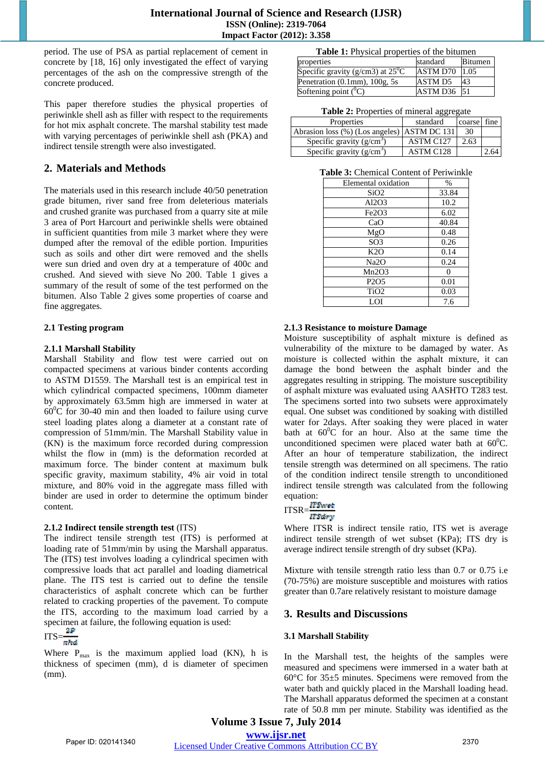period. The use of PSA as partial replacement of cement in concrete by [18, 16] only investigated the effect of varying percentages of the ash on the compressive strength of the concrete produced.

This paper therefore studies the physical properties of periwinkle shell ash as filler with respect to the requirements for hot mix asphalt concrete. The marshal stability test made with varying percentages of periwinkle shell ash (PKA) and indirect tensile strength were also investigated.

# **2. Materials and Methods**

The materials used in this research include 40/50 penetration grade bitumen, river sand free from deleterious materials and crushed granite was purchased from a quarry site at mile 3 area of Port Harcourt and periwinkle shells were obtained in sufficient quantities from mile 3 market where they were dumped after the removal of the edible portion. Impurities such as soils and other dirt were removed and the shells were sun dried and oven dry at a temperature of 400c and crushed. And sieved with sieve No 200. Table 1 gives a summary of the result of some of the test performed on the bitumen. Also Table 2 gives some properties of coarse and fine aggregates.

#### **2.1 Testing program**

#### **2.1.1 Marshall Stability**

Marshall Stability and flow test were carried out on compacted specimens at various binder contents according to ASTM D1559. The Marshall test is an empirical test in which cylindrical compacted specimens, 100mm diameter by approximately 63.5mm high are immersed in water at  $60^{\circ}$ C for 30-40 min and then loaded to failure using curve steel loading plates along a diameter at a constant rate of compression of 51mm/min. The Marshall Stability value in (KN) is the maximum force recorded during compression whilst the flow in (mm) is the deformation recorded at maximum force. The binder content at maximum bulk specific gravity, maximum stability, 4% air void in total mixture, and 80% void in the aggregate mass filled with binder are used in order to determine the optimum binder content.

#### **2.1.2 Indirect tensile strength test** (ITS)

The indirect tensile strength test (ITS) is performed at loading rate of 51mm/min by using the Marshall apparatus. The (ITS) test involves loading a cylindrical specimen with compressive loads that act parallel and loading diametrical plane. The ITS test is carried out to define the tensile characteristics of asphalt concrete which can be further related to cracking properties of the pavement. To compute the ITS, according to the maximum load carried by a specimen at failure, the following equation is used:

# $ITS = \frac{2P}{\pi h d}$

Where  $P_{\text{max}}$  is the maximum applied load (KN), h is thickness of specimen (mm), d is diameter of specimen (mm).

|  | Table 1: Physical properties of the bitumen |
|--|---------------------------------------------|
|--|---------------------------------------------|

| properties                                 | standard       | <b>Bitumen</b> |
|--------------------------------------------|----------------|----------------|
| Specific gravity (g/cm3) at $25^{\circ}$ C | ASTM D70       | 1.05           |
| Penetration $(0.1$ mm $)$ , $100$ g, $5s$  | <b>ASTM D5</b> | 43             |
| Softening point $(^0C)$                    | $ASTM D36$ 51  |                |

**Table 2: Properties of mineral aggregate** 

| Properties                                  | °00 °0<br>standard    | coarse fine |  |
|---------------------------------------------|-----------------------|-------------|--|
| Abrasion loss (%) (Los angeles) ASTM DC 131 |                       | 30          |  |
| Specific gravity $(g/cm3)$                  | ASTM C127             | 2.63        |  |
| Specific gravity $(g/cm3)$                  | ASTM C <sub>128</sub> |             |  |

**Table 3:** Chemical Content of Periwinkle

| Elemental oxidation           | $\%$  |
|-------------------------------|-------|
| SiO2                          | 33.84 |
| Al2O3                         | 10.2  |
| Fe2O3                         | 6.02  |
| CaO                           | 40.84 |
| MgO                           | 0.48  |
| SO <sub>3</sub>               | 0.26  |
| K2O                           | 0.14  |
| Na <sub>2</sub> O             | 0.24  |
| Mn2O3                         | 0     |
| P <sub>2</sub> O <sub>5</sub> | 0.01  |
| TiO <sub>2</sub>              | 0.03  |
| LOI                           | 7.6   |

#### **2.1.3 Resistance to moisture Damage**

Moisture susceptibility of asphalt mixture is defined as vulnerability of the mixture to be damaged by water. As moisture is collected within the asphalt mixture, it can damage the bond between the asphalt binder and the aggregates resulting in stripping. The moisture susceptibility of asphalt mixture was evaluated using AASHTO T283 test. The specimens sorted into two subsets were approximately equal. One subset was conditioned by soaking with distilled water for 2days. After soaking they were placed in water bath at  $60^{\circ}$ C for an hour. Also at the same time the unconditioned specimen were placed water bath at  $60^{\circ}$ C. After an hour of temperature stabilization, the indirect tensile strength was determined on all specimens. The ratio of the condition indirect tensile strength to unconditioned indirect tensile strength was calculated from the following equation:

$$
ITSR = \frac{ITSwitch}{ITSdrv}
$$

Where ITSR is indirect tensile ratio, ITS wet is average indirect tensile strength of wet subset (KPa); ITS dry is average indirect tensile strength of dry subset (KPa).

Mixture with tensile strength ratio less than 0.7 or 0.75 i.e (70-75%) are moisture susceptible and moistures with ratios greater than 0.7are relatively resistant to moisture damage

## **3. Results and Discussions**

#### **3.1 Marshall Stability**

In the Marshall test, the heights of the samples were measured and specimens were immersed in a water bath at 60°C for 35±5 minutes. Specimens were removed from the water bath and quickly placed in the Marshall loading head. The Marshall apparatus deformed the specimen at a constant rate of 50.8 mm per minute. Stability was identified as the

**Volume 3 Issue 7, July 2014** 

**www.ijsr.net**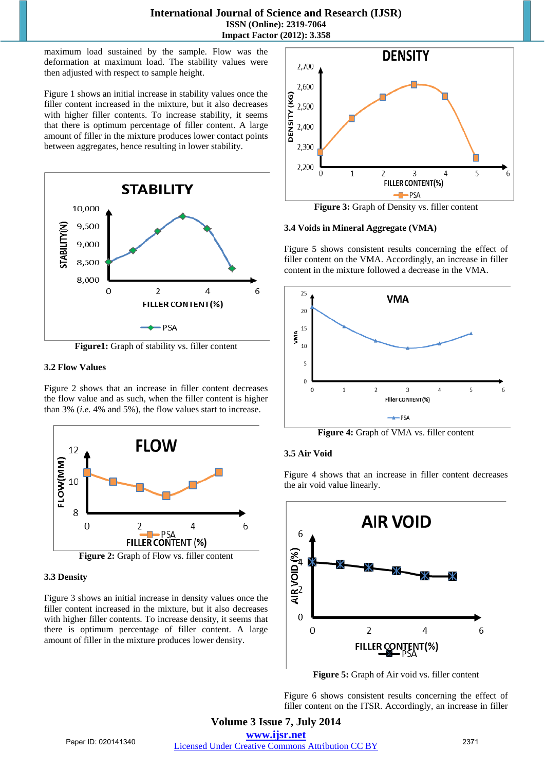#### **International Journal of Science and Research (IJSR) ISSN (Online): 2319-7064 Impact Factor (2012): 3.358**

maximum load sustained by the sample. Flow was the deformation at maximum load. The stability values were then adjusted with respect to sample height.

Figure 1 shows an initial increase in stability values once the filler content increased in the mixture, but it also decreases with higher filler contents. To increase stability, it seems that there is optimum percentage of filler content. A large amount of filler in the mixture produces lower contact points between aggregates, hence resulting in lower stability.



**Figure1:** Graph of stability vs. filler content

#### **3.2 Flow Values**

Figure 2 shows that an increase in filler content decreases the flow value and as such, when the filler content is higher than 3% (*i.e.* 4% and 5%), the flow values start to increase.



#### **3.3 Density**

Figure 3 shows an initial increase in density values once the filler content increased in the mixture, but it also decreases with higher filler contents. To increase density, it seems that there is optimum percentage of filler content. A large amount of filler in the mixture produces lower density.



**Figure 3:** Graph of Density vs. filler content

#### **3.4 Voids in Mineral Aggregate (VMA)**

Figure 5 shows consistent results concerning the effect of filler content on the VMA. Accordingly, an increase in filler content in the mixture followed a decrease in the VMA.



**Figure 4:** Graph of VMA vs. filler content

## **3.5 Air Void**

Figure 4 shows that an increase in filler content decreases the air void value linearly.



**Figure 5:** Graph of Air void vs. filler content

Figure 6 shows consistent results concerning the effect of filler content on the ITSR. Accordingly, an increase in filler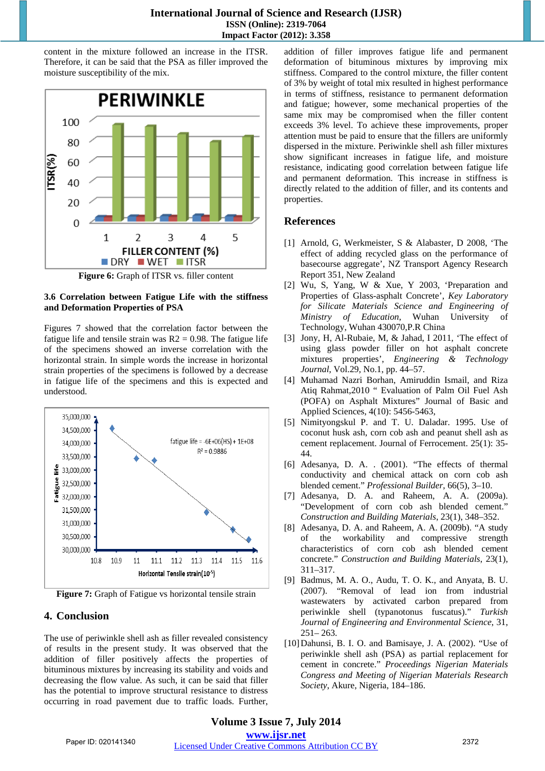#### **International Journal of Science and Research (IJSR) ISSN (Online): 2319-7064 Impact Factor (2012): 3.358**

content in the mixture followed an increase in the ITSR. Therefore, it can be said that the PSA as filler improved the moisture susceptibility of the mix.



**Figure 6:** Graph of ITSR vs. filler content

#### **3.6 Correlation between Fatigue Life with the stiffness and Deformation Properties of PSA**

Figures 7 showed that the correlation factor between the fatigue life and tensile strain was  $R2 = 0.98$ . The fatigue life of the specimens showed an inverse correlation with the horizontal strain. In simple words the increase in horizontal strain properties of the specimens is followed by a decrease in fatigue life of the specimens and this is expected and understood.



**Figure 7:** Graph of Fatigue vs horizontal tensile strain

# **4. Conclusion**

The use of periwinkle shell ash as filler revealed consistency of results in the present study. It was observed that the addition of filler positively affects the properties of bituminous mixtures by increasing its stability and voids and decreasing the flow value. As such, it can be said that filler has the potential to improve structural resistance to distress occurring in road pavement due to traffic loads. Further,

addition of filler improves fatigue life and permanent deformation of bituminous mixtures by improving mix stiffness. Compared to the control mixture, the filler content of 3% by weight of total mix resulted in highest performance in terms of stiffness, resistance to permanent deformation and fatigue; however, some mechanical properties of the same mix may be compromised when the filler content exceeds 3% level. To achieve these improvements, proper attention must be paid to ensure that the fillers are uniformly dispersed in the mixture. Periwinkle shell ash filler mixtures show significant increases in fatigue life, and moisture resistance, indicating good correlation between fatigue life and permanent deformation. This increase in stiffness is directly related to the addition of filler, and its contents and properties.

# **References**

- [1] Arnold, G, Werkmeister, S & Alabaster, D 2008, 'The effect of adding recycled glass on the performance of basecourse aggregate', NZ Transport Agency Research Report 351, New Zealand
- [2] Wu, S, Yang, W & Xue, Y 2003, 'Preparation and Properties of Glass-asphalt Concrete', *Key Laboratory for Silicate Materials Science and Engineering of Ministry of Education*, Wuhan University of Technology, Wuhan 430070,P.R China
- [3] Jony, H, Al-Rubaie, M, & Jahad, I 2011, 'The effect of using glass powder filler on hot asphalt concrete mixtures properties', *Engineering & Technology Journal*, Vol.29, No.1, pp. 44–57.
- [4] Muhamad Nazri Borhan, Amiruddin Ismail, and Riza Atiq Rahmat,2010 " Evaluation of Palm Oil Fuel Ash (POFA) on Asphalt Mixtures" Journal of Basic and Applied Sciences, 4(10): 5456-5463,
- [5] Nimityongskul P. and T. U. Daladar. 1995. Use of coconut husk ash, corn cob ash and peanut shell ash as cement replacement. Journal of Ferrocement. 25(1): 35- 44.
- [6] Adesanya, D. A. . (2001). "The effects of thermal conductivity and chemical attack on corn cob ash blended cement." *Professional Builder*, 66(5), 3–10.
- [7] Adesanya, D. A. and Raheem, A. A. (2009a). "Development of corn cob ash blended cement." *Construction and Building Materials*, 23(1), 348–352.
- [8] Adesanya, D. A. and Raheem, A. A. (2009b). "A study of the workability and compressive strength characteristics of corn cob ash blended cement concrete." *Construction and Building Materials*, 23(1), 311–317.
- [9] Badmus, M. A. O., Audu, T. O. K., and Anyata, B. U. (2007). "Removal of lead ion from industrial wastewaters by activated carbon prepared from periwinkle shell (typanotonus fuscatus)." *Turkish Journal of Engineering and Environmental Science*, 31, 251– 263.
- [10]Dahunsi, B. I. O. and Bamisaye, J. A. (2002). "Use of periwinkle shell ash (PSA) as partial replacement for cement in concrete." *Proceedings Nigerian Materials Congress and Meeting of Nigerian Materials Research Society*, Akure, Nigeria, 184–186.